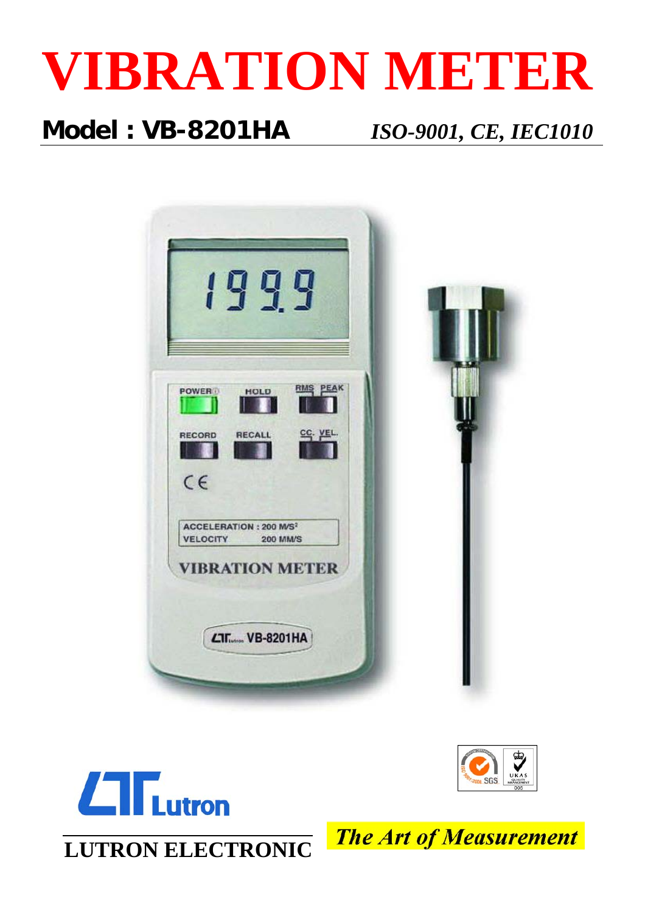

## **Model : VB-8201HA** *ISO-9001, CE, IEC1010*







**LUTRON ELECTRONIC**

**The Art of Measurement**